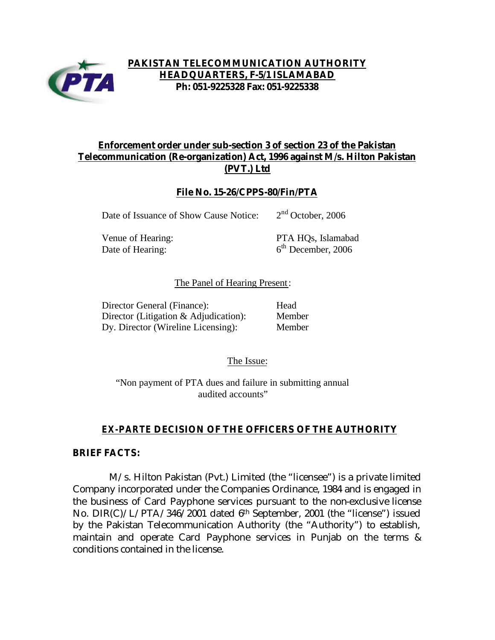

## **PAKISTAN TELECOMMUNICATION AUTHORITY HEADQUARTERS, F-5/1 ISLAMABAD Ph: 051-9225328 Fax: 051-9225338**

## **Enforcement order under sub-section 3 of section 23 of the Pakistan Telecommunication (Re-organization) Act, 1996 against M/s. Hilton Pakistan (PVT.) Ltd**

#### **File No. 15-26/CPPS-80/Fin/PTA**

Date of Issuance of Show Cause Notice: 2

Date of Hearing:

Venue of Hearing: PTA HQs, Islamabad  $6<sup>th</sup>$  December, 2006

 $2<sup>nd</sup>$  October, 2006

#### The Panel of Hearing Present:

Director General (Finance): Head Director (Litigation & Adjudication): Member Dy. Director (Wireline Licensing): Member

The Issue:

"Non payment of PTA dues and failure in submitting annual audited accounts"

## *EX-PARTE* **DECISION OF THE OFFICERS OF THE AUTHORITY**

#### **BRIEF FACTS:**

 M/s. Hilton Pakistan (Pvt.) Limited (the "licensee") is a private limited Company incorporated under the Companies Ordinance, 1984 and is engaged in the business of Card Payphone services pursuant to the non-exclusive license No. DIR(C)/L/PTA/346/2001 dated 6th September, 2001 (the "license") issued by the Pakistan Telecommunication Authority (the "Authority") to establish, maintain and operate Card Payphone services in Punjab on the terms & conditions contained in the license.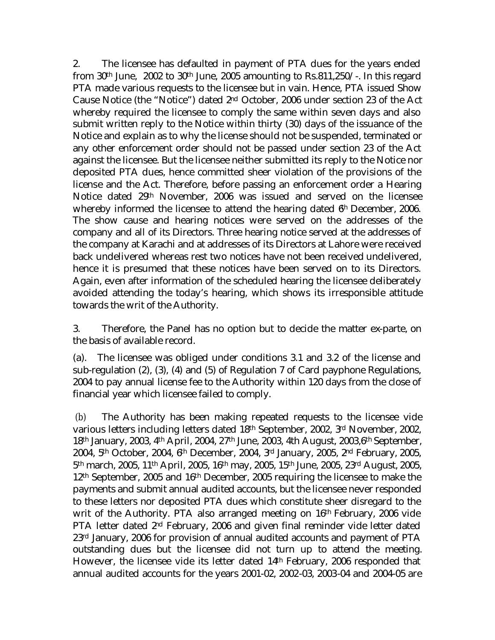2. The licensee has defaulted in payment of PTA dues for the years ended from 30<sup>th</sup> June, 2002 to 30<sup>th</sup> June, 2005 amounting to Rs.811,250/-. In this regard PTA made various requests to the licensee but in vain. Hence, PTA issued Show Cause Notice (the "Notice") dated 2nd October, 2006 under section 23 of the Act whereby required the licensee to comply the same within seven days and also submit written reply to the Notice within thirty (30) days of the issuance of the Notice and explain as to why the license should not be suspended, terminated or any other enforcement order should not be passed under section 23 of the Act against the licensee. But the licensee neither submitted its reply to the Notice nor deposited PTA dues, hence committed sheer violation of the provisions of the license and the Act. Therefore, before passing an enforcement order a Hearing Notice dated 29th November, 2006 was issued and served on the licensee whereby informed the licensee to attend the hearing dated  $\theta$ <sup>h</sup> December, 2006. The show cause and hearing notices were served on the addresses of the company and all of its Directors. Three hearing notice served at the addresses of the company at Karachi and at addresses of its Directors at Lahore were received back undelivered whereas rest two notices have not been received undelivered, hence it is presumed that these notices have been served on to its Directors. Again, even after information of the scheduled hearing the licensee deliberately avoided attending the today's hearing, which shows its irresponsible attitude towards the writ of the Authority.

3. Therefore, the Panel has no option but to decide the matter ex-parte, on the basis of available record.

(a). The licensee was obliged under conditions 3.1 and 3.2 of the license and sub-regulation (2), (3), (4) and (5) of Regulation 7 of Card payphone Regulations, 2004 to pay annual license fee to the Authority within 120 days from the close of financial year which licensee failed to comply.

 (b) The Authority has been making repeated requests to the licensee vide various letters including letters dated 18th September, 2002, 3rd November, 2002, 18th January, 2003, 4th April, 2004, 27th June, 2003, 4th August, 2003,6th September, 2004, 5th October, 2004, 6th December, 2004, 3rd January, 2005, 2nd February, 2005, 5th march, 2005, 11th April, 2005, 16th may, 2005, 15th June, 2005, 23rd August, 2005, 12th September, 2005 and 16th December, 2005 requiring the licensee to make the payments and submit annual audited accounts, but the licensee never responded to these letters nor deposited PTA dues which constitute sheer disregard to the writ of the Authority. PTA also arranged meeting on 16th February, 2006 vide PTA letter dated 2nd February, 2006 and given final reminder vide letter dated 23rd January, 2006 for provision of annual audited accounts and payment of PTA outstanding dues but the licensee did not turn up to attend the meeting. However, the licensee vide its letter dated 14th February, 2006 responded that annual audited accounts for the years 2001-02, 2002-03, 2003-04 and 2004-05 are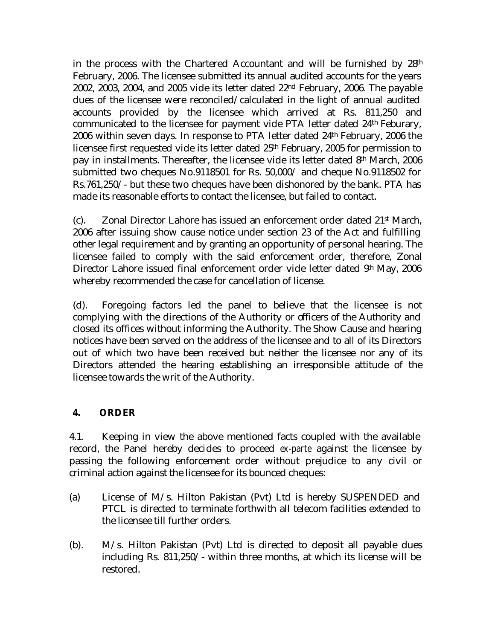in the process with the Chartered Accountant and will be furnished by 28th February, 2006. The licensee submitted its annual audited accounts for the years 2002, 2003, 2004, and 2005 vide its letter dated 22nd February, 2006. The payable dues of the licensee were reconciled/calculated in the light of annual audited accounts provided by the licensee which arrived at Rs. 811,250 and communicated to the licensee for payment vide PTA letter dated 24th Feburary, 2006 within seven days. In response to PTA letter dated 24th February, 2006 the licensee first requested vide its letter dated 25th February, 2005 for permission to pay in installments. Thereafter, the licensee vide its letter dated 8th March, 2006 submitted two cheques No.9118501 for Rs. 50,000/ and cheque No.9118502 for Rs.761,250/- but these two cheques have been dishonored by the bank. PTA has made its reasonable efforts to contact the licensee, but failed to contact.

(c). Zonal Director Lahore has issued an enforcement order dated  $21<sup>st</sup>$  March, 2006 after issuing show cause notice under section 23 of the Act and fulfilling other legal requirement and by granting an opportunity of personal hearing. The licensee failed to comply with the said enforcement order, therefore, Zonal Director Lahore issued final enforcement order vide letter dated 9<sup>th</sup> May, 2006 whereby recommended the case for cancellation of license.

(d). Foregoing factors led the panel to believe that the licensee is not complying with the directions of the Authority or officers of the Authority and closed its offices without informing the Authority. The Show Cause and hearing notices have been served on the address of the licensee and to all of its Directors out of which two have been received but neither the licensee nor any of its Directors attended the hearing establishing an irresponsible attitude of the licensee towards the writ of the Authority.

# **4. ORDER**

4.1. Keeping in view the above mentioned facts coupled with the available record, the Panel hereby decides to proceed *ex-parte* against the licensee by passing the following enforcement order without prejudice to any civil or criminal action against the licensee for its bounced cheques:

- (a) License of M/s. Hilton Pakistan (Pvt) Ltd is hereby SUSPENDED and PTCL is directed to terminate forthwith all telecom facilities extended to the licensee till further orders.
- (b). M/s. Hilton Pakistan (Pvt) Ltd is directed to deposit all payable dues including Rs. 811,250/- within three months, at which its license will be restored.